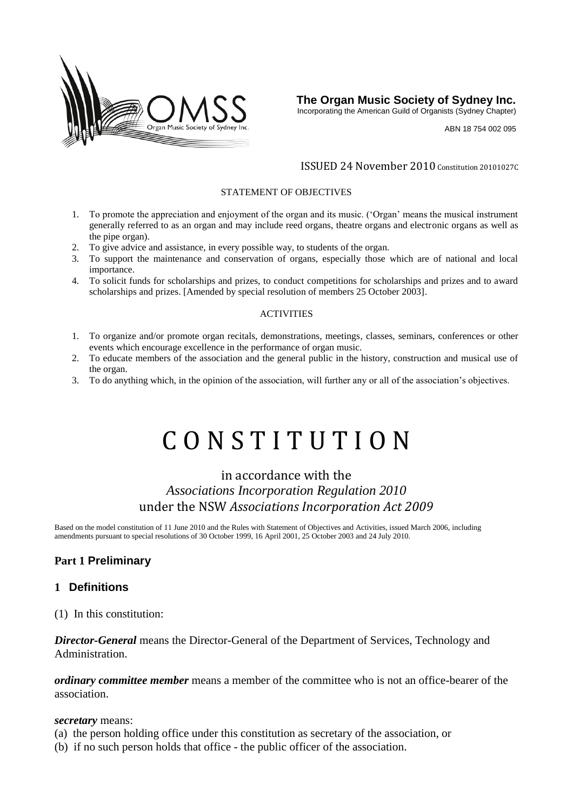

**The Organ Music Society of Sydney Inc.**

Incorporating the American Guild of Organists (Sydney Chapter)

ABN 18 754 002 095

#### ISSUED 24 November 2010 Constitution 20101027C

#### STATEMENT OF OBJECTIVES

- 1. To promote the appreciation and enjoyment of the organ and its music. ('Organ' means the musical instrument generally referred to as an organ and may include reed organs, theatre organs and electronic organs as well as the pipe organ).
- 2. To give advice and assistance, in every possible way, to students of the organ.
- 3. To support the maintenance and conservation of organs, especially those which are of national and local importance.
- 4. To solicit funds for scholarships and prizes, to conduct competitions for scholarships and prizes and to award scholarships and prizes. [Amended by special resolution of members 25 October 2003].

#### ACTIVITIES

- 1. To organize and/or promote organ recitals, demonstrations, meetings, classes, seminars, conferences or other events which encourage excellence in the performance of organ music.
- 2. To educate members of the association and the general public in the history, construction and musical use of the organ.
- 3. To do anything which, in the opinion of the association, will further any or all of the association's objectives.

# C O N S T I T U T I O N

# in accordance with the *Associations Incorporation Regulation 2010* under the NSW *[Associations Incorporation Act 2009](http://www.legislation.nsw.gov.au/xref/inforce/?xref=Type%3Dact%20AND%20Year%3D2009%20AND%20no%3D7&nohits=y)*

Based on the model constitution of 11 June 2010 and the Rules with Statement of Objectives and Activities, issued March 2006, including amendments pursuant to special resolutions of 30 October 1999, 16 April 2001, 25 October 2003 and 24 July 2010.

# **Part 1 Preliminary**

#### **1 Definitions**

(1) In this constitution:

*Director-General* means the Director-General of the Department of Services, Technology and Administration.

*ordinary committee member* means a member of the committee who is not an office-bearer of the association.

#### *secretary* means:

- (a) the person holding office under this constitution as secretary of the association, or
- (b) if no such person holds that office the public officer of the association.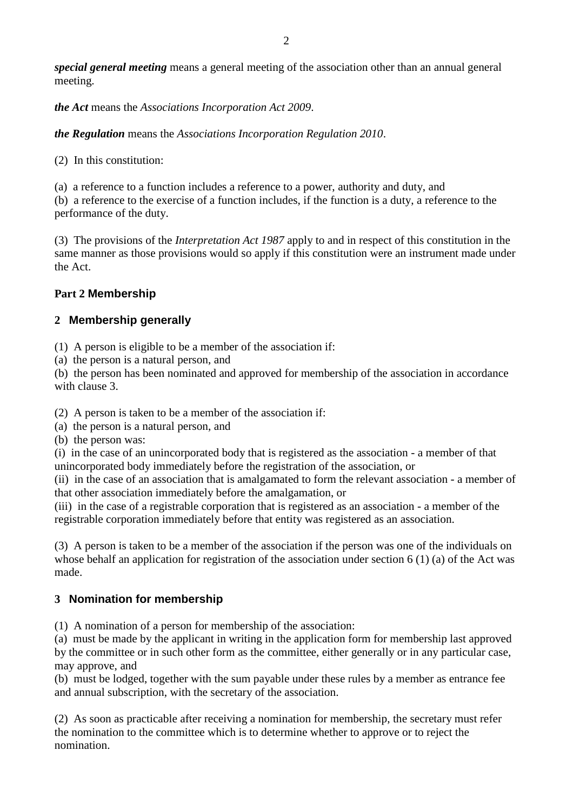*special general meeting* means a general meeting of the association other than an annual general meeting.

*the Act* means the *[Associations Incorporation Act 2009](http://www.legislation.nsw.gov.au/xref/inforce/?xref=Type%3Dact%20AND%20Year%3D2009%20AND%20no%3D7&nohits=y)*.

*the Regulation* means the *[Associations Incorporation Regulation 2010](http://www.legislation.nsw.gov.au/xref/inforce/?xref=Type%3Dsubordleg%20AND%20Year%3D2010%20AND%20No%3D238&nohits=y)*.

(2) In this constitution:

(a) a reference to a function includes a reference to a power, authority and duty, and (b) a reference to the exercise of a function includes, if the function is a duty, a reference to the performance of the duty.

(3) The provisions of the *[Interpretation Act 1987](http://www.legislation.nsw.gov.au/xref/inforce/?xref=Type%3Dact%20AND%20Year%3D1987%20AND%20no%3D15&nohits=y)* apply to and in respect of this constitution in the same manner as those provisions would so apply if this constitution were an instrument made under the Act.

# **Part 2 Membership**

# **2 Membership generally**

(1) A person is eligible to be a member of the association if:

(a) the person is a natural person, and

(b) the person has been nominated and approved for membership of the association in accordance with clause 3.

(2) A person is taken to be a member of the association if:

(a) the person is a natural person, and

(b) the person was:

(i) in the case of an unincorporated body that is registered as the association - a member of that unincorporated body immediately before the registration of the association, or

(ii) in the case of an association that is amalgamated to form the relevant association - a member of that other association immediately before the amalgamation, or

(iii) in the case of a registrable corporation that is registered as an association - a member of the registrable corporation immediately before that entity was registered as an association.

(3) A person is taken to be a member of the association if the person was one of the individuals on whose behalf an application for registration of the association under section 6 (1) (a) of the Act was made.

# **3 Nomination for membership**

(1) A nomination of a person for membership of the association:

(a) must be made by the applicant in writing in the application form for membership last approved by the committee or in such other form as the committee, either generally or in any particular case, may approve, and

(b) must be lodged, together with the sum payable under these rules by a member as entrance fee and annual subscription, with the secretary of the association.

(2) As soon as practicable after receiving a nomination for membership, the secretary must refer the nomination to the committee which is to determine whether to approve or to reject the nomination.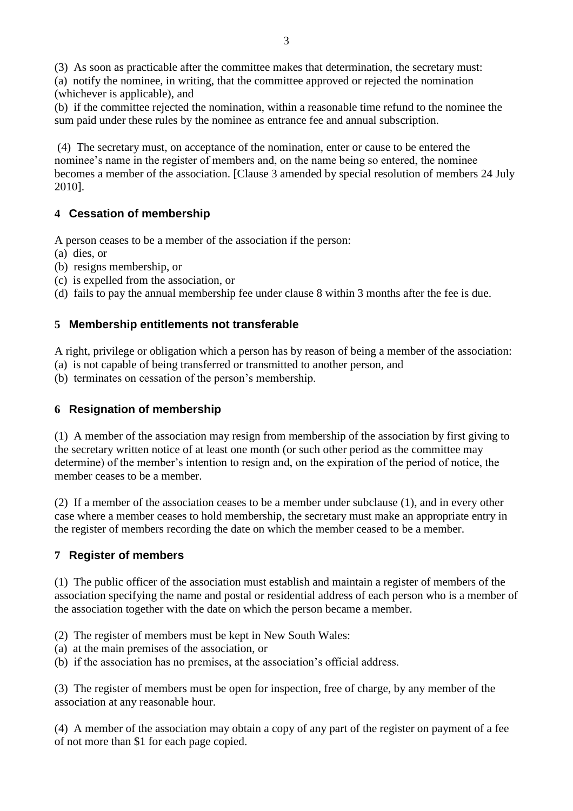(3) As soon as practicable after the committee makes that determination, the secretary must:

(a) notify the nominee, in writing, that the committee approved or rejected the nomination (whichever is applicable), and

(b) if the committee rejected the nomination, within a reasonable time refund to the nominee the sum paid under these rules by the nominee as entrance fee and annual subscription.

(4) The secretary must, on acceptance of the nomination, enter or cause to be entered the nominee's name in the register of members and, on the name being so entered, the nominee becomes a member of the association. [Clause 3 amended by special resolution of members 24 July 2010].

# **4 Cessation of membership**

A person ceases to be a member of the association if the person:

- (a) dies, or
- (b) resigns membership, or
- (c) is expelled from the association, or
- (d) fails to pay the annual membership fee under clause 8 within 3 months after the fee is due.

# **5 Membership entitlements not transferable**

A right, privilege or obligation which a person has by reason of being a member of the association:

(a) is not capable of being transferred or transmitted to another person, and

(b) terminates on cessation of the person's membership.

# **6 Resignation of membership**

(1) A member of the association may resign from membership of the association by first giving to the secretary written notice of at least one month (or such other period as the committee may determine) of the member's intention to resign and, on the expiration of the period of notice, the member ceases to be a member.

(2) If a member of the association ceases to be a member under subclause (1), and in every other case where a member ceases to hold membership, the secretary must make an appropriate entry in the register of members recording the date on which the member ceased to be a member.

# **7 Register of members**

(1) The public officer of the association must establish and maintain a register of members of the association specifying the name and postal or residential address of each person who is a member of the association together with the date on which the person became a member.

- (2) The register of members must be kept in New South Wales:
- (a) at the main premises of the association, or
- (b) if the association has no premises, at the association's official address.

(3) The register of members must be open for inspection, free of charge, by any member of the association at any reasonable hour.

(4) A member of the association may obtain a copy of any part of the register on payment of a fee of not more than \$1 for each page copied.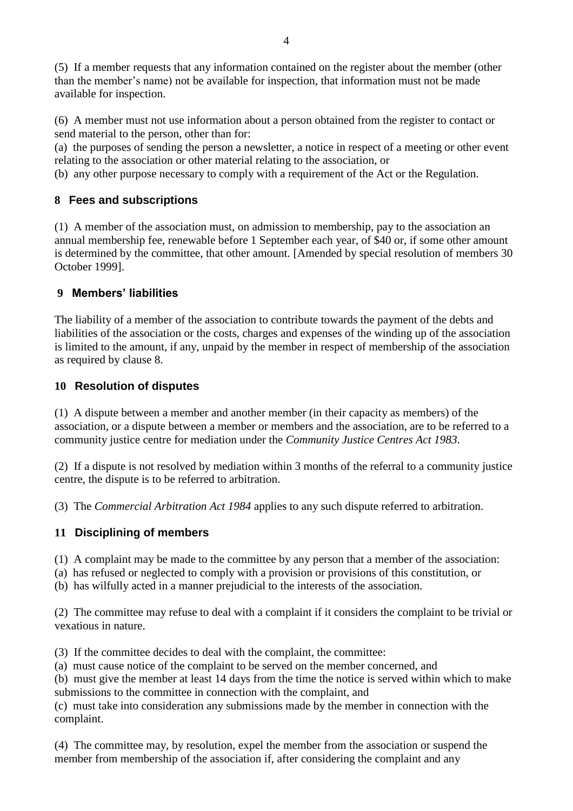(5) If a member requests that any information contained on the register about the member (other than the member's name) not be available for inspection, that information must not be made available for inspection.

(6) A member must not use information about a person obtained from the register to contact or send material to the person, other than for:

(a) the purposes of sending the person a newsletter, a notice in respect of a meeting or other event relating to the association or other material relating to the association, or

(b) any other purpose necessary to comply with a requirement of the Act or the Regulation.

## **8 Fees and subscriptions**

(1) A member of the association must, on admission to membership, pay to the association an annual membership fee, renewable before 1 September each year, of \$40 or, if some other amount is determined by the committee, that other amount. [Amended by special resolution of members 30 October 1999].

## **9 Members' liabilities**

The liability of a member of the association to contribute towards the payment of the debts and liabilities of the association or the costs, charges and expenses of the winding up of the association is limited to the amount, if any, unpaid by the member in respect of membership of the association as required by clause 8.

#### **10 Resolution of disputes**

(1) A dispute between a member and another member (in their capacity as members) of the association, or a dispute between a member or members and the association, are to be referred to a community justice centre for mediation under the *[Community Justice Centres Act 1983.](http://www.legislation.nsw.gov.au/xref/inforce/?xref=Type%3Dact%20AND%20Year%3D1983%20AND%20no%3D127&nohits=y)*

(2) If a dispute is not resolved by mediation within 3 months of the referral to a community justice centre, the dispute is to be referred to arbitration.

(3) The *[Commercial Arbitration Act 1984](http://www.legislation.nsw.gov.au/xref/inforce/?xref=Type%3Dact%20AND%20Year%3D1984%20AND%20no%3D160&nohits=y)* applies to any such dispute referred to arbitration.

#### **11 Disciplining of members**

- (1) A complaint may be made to the committee by any person that a member of the association:
- (a) has refused or neglected to comply with a provision or provisions of this constitution, or
- (b) has wilfully acted in a manner prejudicial to the interests of the association.

(2) The committee may refuse to deal with a complaint if it considers the complaint to be trivial or vexatious in nature.

(3) If the committee decides to deal with the complaint, the committee:

(a) must cause notice of the complaint to be served on the member concerned, and

(b) must give the member at least 14 days from the time the notice is served within which to make submissions to the committee in connection with the complaint, and

(c) must take into consideration any submissions made by the member in connection with the complaint.

(4) The committee may, by resolution, expel the member from the association or suspend the member from membership of the association if, after considering the complaint and any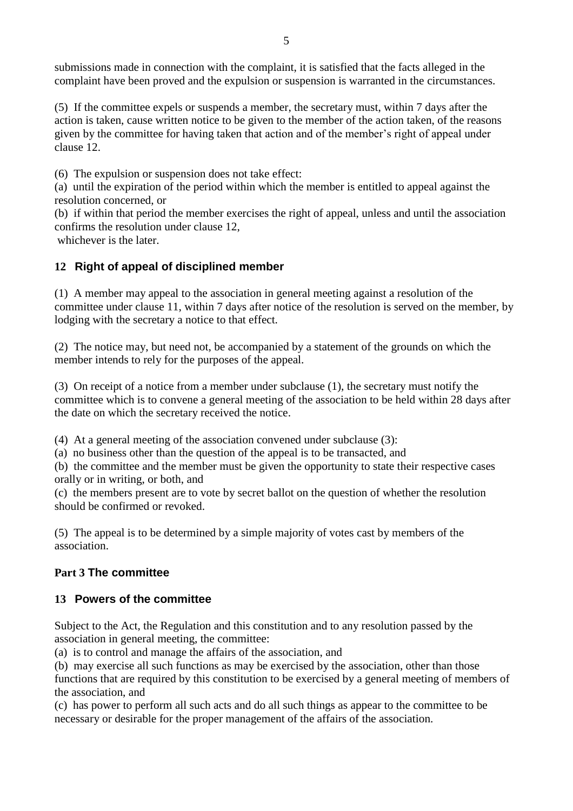submissions made in connection with the complaint, it is satisfied that the facts alleged in the complaint have been proved and the expulsion or suspension is warranted in the circumstances.

(5) If the committee expels or suspends a member, the secretary must, within 7 days after the action is taken, cause written notice to be given to the member of the action taken, of the reasons given by the committee for having taken that action and of the member's right of appeal under clause 12.

(6) The expulsion or suspension does not take effect:

(a) until the expiration of the period within which the member is entitled to appeal against the resolution concerned, or

(b) if within that period the member exercises the right of appeal, unless and until the association confirms the resolution under clause 12,

whichever is the later.

# **12 Right of appeal of disciplined member**

(1) A member may appeal to the association in general meeting against a resolution of the committee under clause 11, within 7 days after notice of the resolution is served on the member, by lodging with the secretary a notice to that effect.

(2) The notice may, but need not, be accompanied by a statement of the grounds on which the member intends to rely for the purposes of the appeal.

(3) On receipt of a notice from a member under subclause (1), the secretary must notify the committee which is to convene a general meeting of the association to be held within 28 days after the date on which the secretary received the notice.

(4) At a general meeting of the association convened under subclause (3):

(a) no business other than the question of the appeal is to be transacted, and

(b) the committee and the member must be given the opportunity to state their respective cases orally or in writing, or both, and

(c) the members present are to vote by secret ballot on the question of whether the resolution should be confirmed or revoked.

(5) The appeal is to be determined by a simple majority of votes cast by members of the association.

# **Part 3 The committee**

# **13 Powers of the committee**

Subject to the Act, the Regulation and this constitution and to any resolution passed by the association in general meeting, the committee:

(a) is to control and manage the affairs of the association, and

(b) may exercise all such functions as may be exercised by the association, other than those functions that are required by this constitution to be exercised by a general meeting of members of the association, and

(c) has power to perform all such acts and do all such things as appear to the committee to be necessary or desirable for the proper management of the affairs of the association.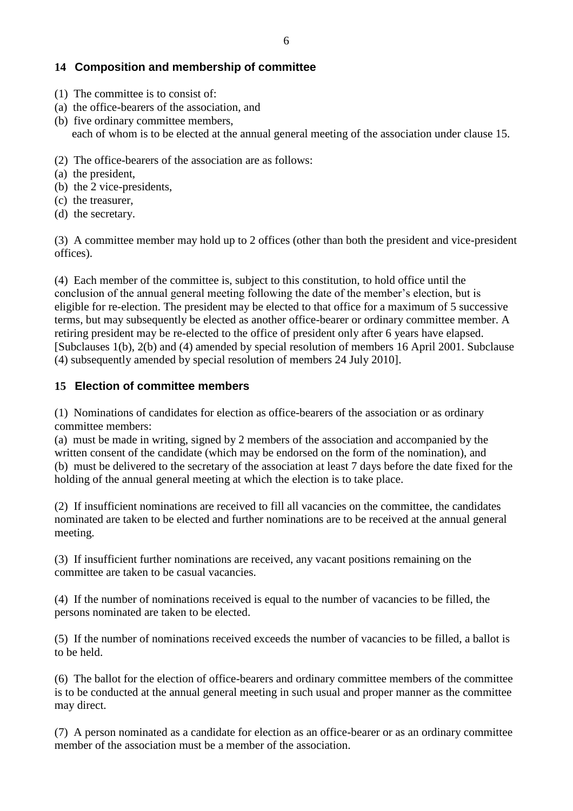# **14 Composition and membership of committee**

- (1) The committee is to consist of:
- (a) the office-bearers of the association, and
- (b) five ordinary committee members, each of whom is to be elected at the annual general meeting of the association under clause 15.
- (2) The office-bearers of the association are as follows:
- (a) the president,
- (b) the 2 vice-presidents,
- (c) the treasurer,
- (d) the secretary.

(3) A committee member may hold up to 2 offices (other than both the president and vice-president offices).

(4) Each member of the committee is, subject to this constitution, to hold office until the conclusion of the annual general meeting following the date of the member's election, but is eligible for re-election. The president may be elected to that office for a maximum of 5 successive terms, but may subsequently be elected as another office-bearer or ordinary committee member. A retiring president may be re-elected to the office of president only after 6 years have elapsed. [Subclauses 1(b), 2(b) and (4) amended by special resolution of members 16 April 2001. Subclause (4) subsequently amended by special resolution of members 24 July 2010].

## **15 Election of committee members**

(1) Nominations of candidates for election as office-bearers of the association or as ordinary committee members:

(a) must be made in writing, signed by 2 members of the association and accompanied by the written consent of the candidate (which may be endorsed on the form of the nomination), and (b) must be delivered to the secretary of the association at least 7 days before the date fixed for the holding of the annual general meeting at which the election is to take place.

(2) If insufficient nominations are received to fill all vacancies on the committee, the candidates nominated are taken to be elected and further nominations are to be received at the annual general meeting.

(3) If insufficient further nominations are received, any vacant positions remaining on the committee are taken to be casual vacancies.

(4) If the number of nominations received is equal to the number of vacancies to be filled, the persons nominated are taken to be elected.

(5) If the number of nominations received exceeds the number of vacancies to be filled, a ballot is to be held.

(6) The ballot for the election of office-bearers and ordinary committee members of the committee is to be conducted at the annual general meeting in such usual and proper manner as the committee may direct.

(7) A person nominated as a candidate for election as an office-bearer or as an ordinary committee member of the association must be a member of the association.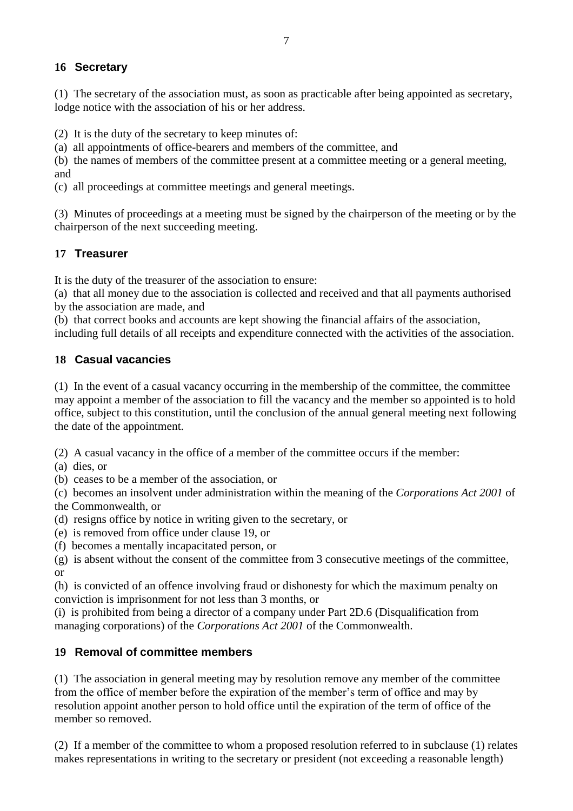# **16 Secretary**

(1) The secretary of the association must, as soon as practicable after being appointed as secretary, lodge notice with the association of his or her address.

(2) It is the duty of the secretary to keep minutes of:

(a) all appointments of office-bearers and members of the committee, and

(b) the names of members of the committee present at a committee meeting or a general meeting, and

(c) all proceedings at committee meetings and general meetings.

(3) Minutes of proceedings at a meeting must be signed by the chairperson of the meeting or by the chairperson of the next succeeding meeting.

# **17 Treasurer**

It is the duty of the treasurer of the association to ensure:

(a) that all money due to the association is collected and received and that all payments authorised by the association are made, and

(b) that correct books and accounts are kept showing the financial affairs of the association,

including full details of all receipts and expenditure connected with the activities of the association.

# **18 Casual vacancies**

(1) In the event of a casual vacancy occurring in the membership of the committee, the committee may appoint a member of the association to fill the vacancy and the member so appointed is to hold office, subject to this constitution, until the conclusion of the annual general meeting next following the date of the appointment.

(2) A casual vacancy in the office of a member of the committee occurs if the member:

(a) dies, or

(b) ceases to be a member of the association, or

(c) becomes an insolvent under administration within the meaning of the *[Corporations Act 2001](http://www.comlaw.gov.au/)* of the Commonwealth, or

(d) resigns office by notice in writing given to the secretary, or

(e) is removed from office under clause 19, or

(f) becomes a mentally incapacitated person, or

(g) is absent without the consent of the committee from 3 consecutive meetings of the committee, or

(h) is convicted of an offence involving fraud or dishonesty for which the maximum penalty on conviction is imprisonment for not less than 3 months, or

(i) is prohibited from being a director of a company under Part 2D.6 (Disqualification from managing corporations) of the *[Corporations Act 2001](http://www.comlaw.gov.au/)* of the Commonwealth.

# **19 Removal of committee members**

(1) The association in general meeting may by resolution remove any member of the committee from the office of member before the expiration of the member's term of office and may by resolution appoint another person to hold office until the expiration of the term of office of the member so removed.

(2) If a member of the committee to whom a proposed resolution referred to in subclause (1) relates makes representations in writing to the secretary or president (not exceeding a reasonable length)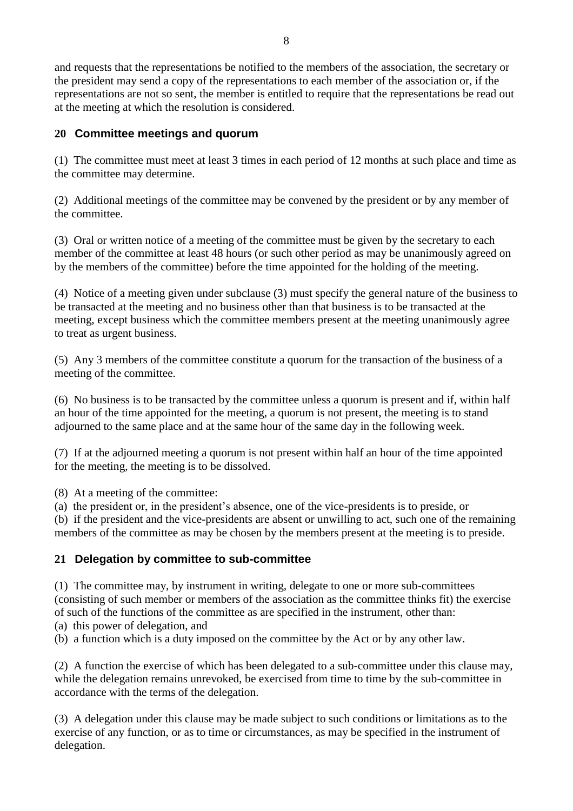and requests that the representations be notified to the members of the association, the secretary or the president may send a copy of the representations to each member of the association or, if the representations are not so sent, the member is entitled to require that the representations be read out at the meeting at which the resolution is considered.

# **20 Committee meetings and quorum**

(1) The committee must meet at least 3 times in each period of 12 months at such place and time as the committee may determine.

(2) Additional meetings of the committee may be convened by the president or by any member of the committee.

(3) Oral or written notice of a meeting of the committee must be given by the secretary to each member of the committee at least 48 hours (or such other period as may be unanimously agreed on by the members of the committee) before the time appointed for the holding of the meeting.

(4) Notice of a meeting given under subclause (3) must specify the general nature of the business to be transacted at the meeting and no business other than that business is to be transacted at the meeting, except business which the committee members present at the meeting unanimously agree to treat as urgent business.

(5) Any 3 members of the committee constitute a quorum for the transaction of the business of a meeting of the committee.

(6) No business is to be transacted by the committee unless a quorum is present and if, within half an hour of the time appointed for the meeting, a quorum is not present, the meeting is to stand adjourned to the same place and at the same hour of the same day in the following week.

(7) If at the adjourned meeting a quorum is not present within half an hour of the time appointed for the meeting, the meeting is to be dissolved.

(8) At a meeting of the committee:

(a) the president or, in the president's absence, one of the vice-presidents is to preside, or

(b) if the president and the vice-presidents are absent or unwilling to act, such one of the remaining members of the committee as may be chosen by the members present at the meeting is to preside.

#### **21 Delegation by committee to sub-committee**

(1) The committee may, by instrument in writing, delegate to one or more sub-committees (consisting of such member or members of the association as the committee thinks fit) the exercise of such of the functions of the committee as are specified in the instrument, other than:

- (a) this power of delegation, and
- (b) a function which is a duty imposed on the committee by the Act or by any other law.

(2) A function the exercise of which has been delegated to a sub-committee under this clause may, while the delegation remains unrevoked, be exercised from time to time by the sub-committee in accordance with the terms of the delegation.

(3) A delegation under this clause may be made subject to such conditions or limitations as to the exercise of any function, or as to time or circumstances, as may be specified in the instrument of delegation.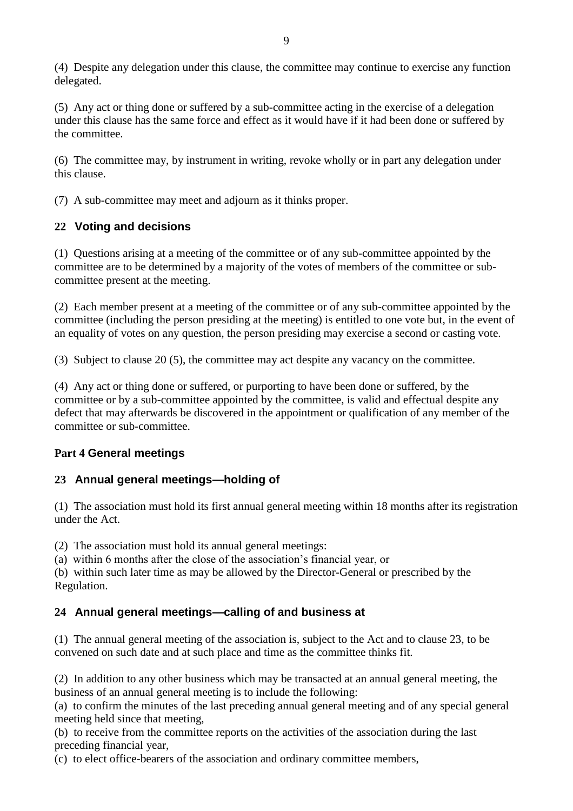(4) Despite any delegation under this clause, the committee may continue to exercise any function delegated.

(5) Any act or thing done or suffered by a sub-committee acting in the exercise of a delegation under this clause has the same force and effect as it would have if it had been done or suffered by the committee.

(6) The committee may, by instrument in writing, revoke wholly or in part any delegation under this clause.

(7) A sub-committee may meet and adjourn as it thinks proper.

## **22 Voting and decisions**

(1) Questions arising at a meeting of the committee or of any sub-committee appointed by the committee are to be determined by a majority of the votes of members of the committee or subcommittee present at the meeting.

(2) Each member present at a meeting of the committee or of any sub-committee appointed by the committee (including the person presiding at the meeting) is entitled to one vote but, in the event of an equality of votes on any question, the person presiding may exercise a second or casting vote.

(3) Subject to clause 20 (5), the committee may act despite any vacancy on the committee.

(4) Any act or thing done or suffered, or purporting to have been done or suffered, by the committee or by a sub-committee appointed by the committee, is valid and effectual despite any defect that may afterwards be discovered in the appointment or qualification of any member of the committee or sub-committee.

#### **Part 4 General meetings**

#### **23 Annual general meetings—holding of**

(1) The association must hold its first annual general meeting within 18 months after its registration under the Act.

(2) The association must hold its annual general meetings:

(a) within 6 months after the close of the association's financial year, or

(b) within such later time as may be allowed by the Director-General or prescribed by the Regulation.

#### **24 Annual general meetings—calling of and business at**

(1) The annual general meeting of the association is, subject to the Act and to clause 23, to be convened on such date and at such place and time as the committee thinks fit.

(2) In addition to any other business which may be transacted at an annual general meeting, the business of an annual general meeting is to include the following:

(a) to confirm the minutes of the last preceding annual general meeting and of any special general meeting held since that meeting,

(b) to receive from the committee reports on the activities of the association during the last preceding financial year,

(c) to elect office-bearers of the association and ordinary committee members,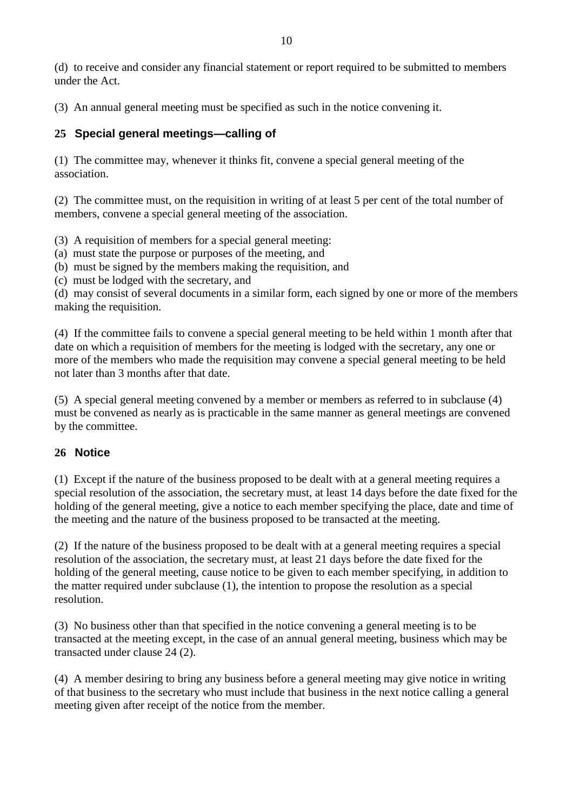(3) An annual general meeting must be specified as such in the notice convening it.

# **25 Special general meetings—calling of**

(1) The committee may, whenever it thinks fit, convene a special general meeting of the association.

(2) The committee must, on the requisition in writing of at least 5 per cent of the total number of members, convene a special general meeting of the association.

(3) A requisition of members for a special general meeting:

(a) must state the purpose or purposes of the meeting, and

(b) must be signed by the members making the requisition, and

(c) must be lodged with the secretary, and

(d) may consist of several documents in a similar form, each signed by one or more of the members making the requisition.

(4) If the committee fails to convene a special general meeting to be held within 1 month after that date on which a requisition of members for the meeting is lodged with the secretary, any one or more of the members who made the requisition may convene a special general meeting to be held not later than 3 months after that date.

(5) A special general meeting convened by a member or members as referred to in subclause (4) must be convened as nearly as is practicable in the same manner as general meetings are convened by the committee.

# **26 Notice**

(1) Except if the nature of the business proposed to be dealt with at a general meeting requires a special resolution of the association, the secretary must, at least 14 days before the date fixed for the holding of the general meeting, give a notice to each member specifying the place, date and time of the meeting and the nature of the business proposed to be transacted at the meeting.

(2) If the nature of the business proposed to be dealt with at a general meeting requires a special resolution of the association, the secretary must, at least 21 days before the date fixed for the holding of the general meeting, cause notice to be given to each member specifying, in addition to the matter required under subclause (1), the intention to propose the resolution as a special resolution.

(3) No business other than that specified in the notice convening a general meeting is to be transacted at the meeting except, in the case of an annual general meeting, business which may be transacted under clause 24 (2).

(4) A member desiring to bring any business before a general meeting may give notice in writing of that business to the secretary who must include that business in the next notice calling a general meeting given after receipt of the notice from the member.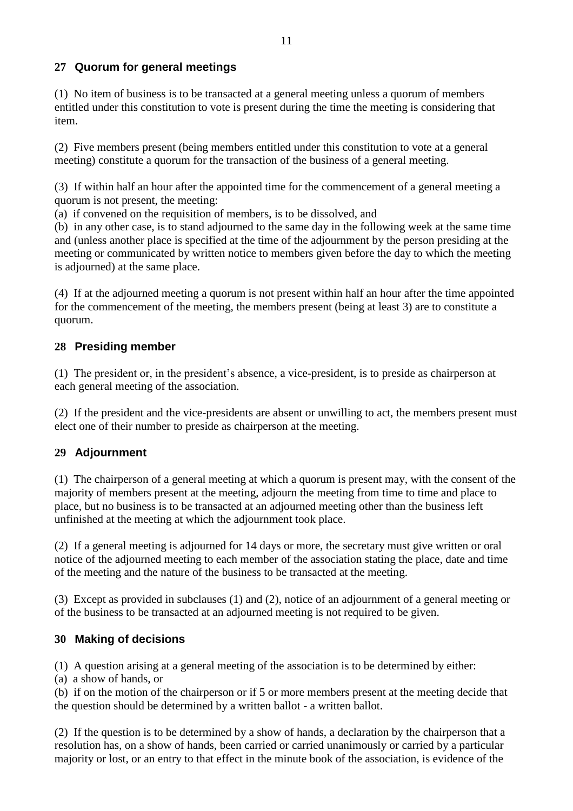# **27 Quorum for general meetings**

(1) No item of business is to be transacted at a general meeting unless a quorum of members entitled under this constitution to vote is present during the time the meeting is considering that item.

(2) Five members present (being members entitled under this constitution to vote at a general meeting) constitute a quorum for the transaction of the business of a general meeting.

(3) If within half an hour after the appointed time for the commencement of a general meeting a quorum is not present, the meeting:

(a) if convened on the requisition of members, is to be dissolved, and

(b) in any other case, is to stand adjourned to the same day in the following week at the same time and (unless another place is specified at the time of the adjournment by the person presiding at the meeting or communicated by written notice to members given before the day to which the meeting is adjourned) at the same place.

(4) If at the adjourned meeting a quorum is not present within half an hour after the time appointed for the commencement of the meeting, the members present (being at least 3) are to constitute a quorum.

## **28 Presiding member**

(1) The president or, in the president's absence, a vice-president, is to preside as chairperson at each general meeting of the association.

(2) If the president and the vice-presidents are absent or unwilling to act, the members present must elect one of their number to preside as chairperson at the meeting.

# **29 Adjournment**

(1) The chairperson of a general meeting at which a quorum is present may, with the consent of the majority of members present at the meeting, adjourn the meeting from time to time and place to place, but no business is to be transacted at an adjourned meeting other than the business left unfinished at the meeting at which the adjournment took place.

(2) If a general meeting is adjourned for 14 days or more, the secretary must give written or oral notice of the adjourned meeting to each member of the association stating the place, date and time of the meeting and the nature of the business to be transacted at the meeting.

(3) Except as provided in subclauses (1) and (2), notice of an adjournment of a general meeting or of the business to be transacted at an adjourned meeting is not required to be given.

#### **30 Making of decisions**

(1) A question arising at a general meeting of the association is to be determined by either:

(a) a show of hands, or

(b) if on the motion of the chairperson or if 5 or more members present at the meeting decide that the question should be determined by a written ballot - a written ballot.

(2) If the question is to be determined by a show of hands, a declaration by the chairperson that a resolution has, on a show of hands, been carried or carried unanimously or carried by a particular majority or lost, or an entry to that effect in the minute book of the association, is evidence of the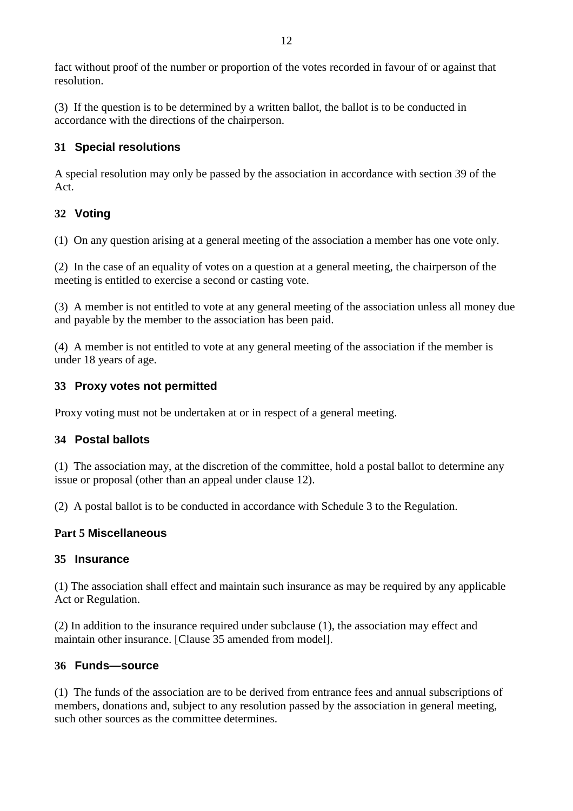fact without proof of the number or proportion of the votes recorded in favour of or against that resolution.

(3) If the question is to be determined by a written ballot, the ballot is to be conducted in accordance with the directions of the chairperson.

# **31 Special resolutions**

A special resolution may only be passed by the association in accordance with section 39 of the Act.

# **32 Voting**

(1) On any question arising at a general meeting of the association a member has one vote only.

(2) In the case of an equality of votes on a question at a general meeting, the chairperson of the meeting is entitled to exercise a second or casting vote.

(3) A member is not entitled to vote at any general meeting of the association unless all money due and payable by the member to the association has been paid.

(4) A member is not entitled to vote at any general meeting of the association if the member is under 18 years of age.

# **33 Proxy votes not permitted**

Proxy voting must not be undertaken at or in respect of a general meeting.

# **34 Postal ballots**

(1) The association may, at the discretion of the committee, hold a postal ballot to determine any issue or proposal (other than an appeal under clause 12).

(2) A postal ballot is to be conducted in accordance with Schedule 3 to the Regulation.

# **Part 5 Miscellaneous**

# **35 Insurance**

(1) The association shall effect and maintain such insurance as may be required by any applicable Act or Regulation.

(2) In addition to the insurance required under subclause (1), the association may effect and maintain other insurance. [Clause 35 amended from model].

# **36 Funds—source**

(1) The funds of the association are to be derived from entrance fees and annual subscriptions of members, donations and, subject to any resolution passed by the association in general meeting, such other sources as the committee determines.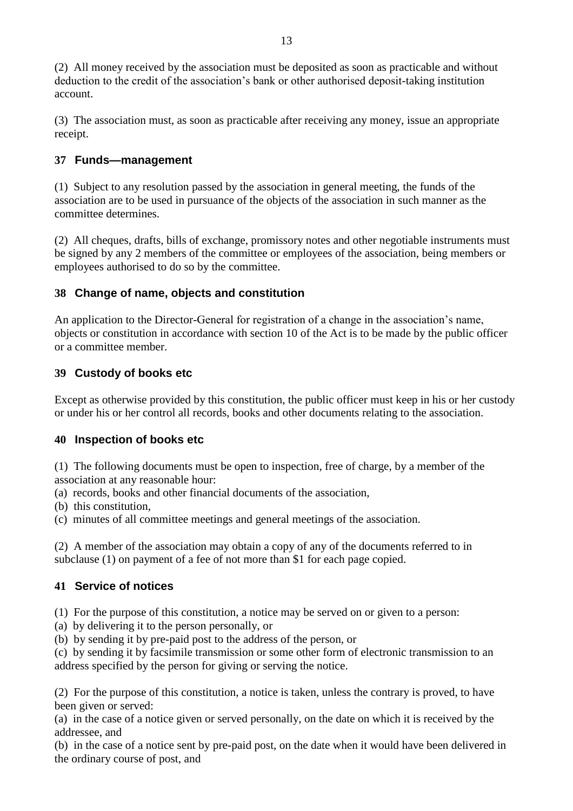(2) All money received by the association must be deposited as soon as practicable and without deduction to the credit of the association's bank or other authorised deposit-taking institution account.

(3) The association must, as soon as practicable after receiving any money, issue an appropriate receipt.

# **37 Funds—management**

(1) Subject to any resolution passed by the association in general meeting, the funds of the association are to be used in pursuance of the objects of the association in such manner as the committee determines.

(2) All cheques, drafts, bills of exchange, promissory notes and other negotiable instruments must be signed by any 2 members of the committee or employees of the association, being members or employees authorised to do so by the committee.

# **38 Change of name, objects and constitution**

An application to the Director-General for registration of a change in the association's name, objects or constitution in accordance with section 10 of the Act is to be made by the public officer or a committee member.

# **39 Custody of books etc**

Except as otherwise provided by this constitution, the public officer must keep in his or her custody or under his or her control all records, books and other documents relating to the association.

#### **40 Inspection of books etc**

(1) The following documents must be open to inspection, free of charge, by a member of the association at any reasonable hour:

- (a) records, books and other financial documents of the association,
- (b) this constitution,
- (c) minutes of all committee meetings and general meetings of the association.

(2) A member of the association may obtain a copy of any of the documents referred to in subclause (1) on payment of a fee of not more than \$1 for each page copied.

# **41 Service of notices**

(1) For the purpose of this constitution, a notice may be served on or given to a person:

(a) by delivering it to the person personally, or

(b) by sending it by pre-paid post to the address of the person, or

(c) by sending it by facsimile transmission or some other form of electronic transmission to an address specified by the person for giving or serving the notice.

(2) For the purpose of this constitution, a notice is taken, unless the contrary is proved, to have been given or served:

(a) in the case of a notice given or served personally, on the date on which it is received by the addressee, and

(b) in the case of a notice sent by pre-paid post, on the date when it would have been delivered in the ordinary course of post, and